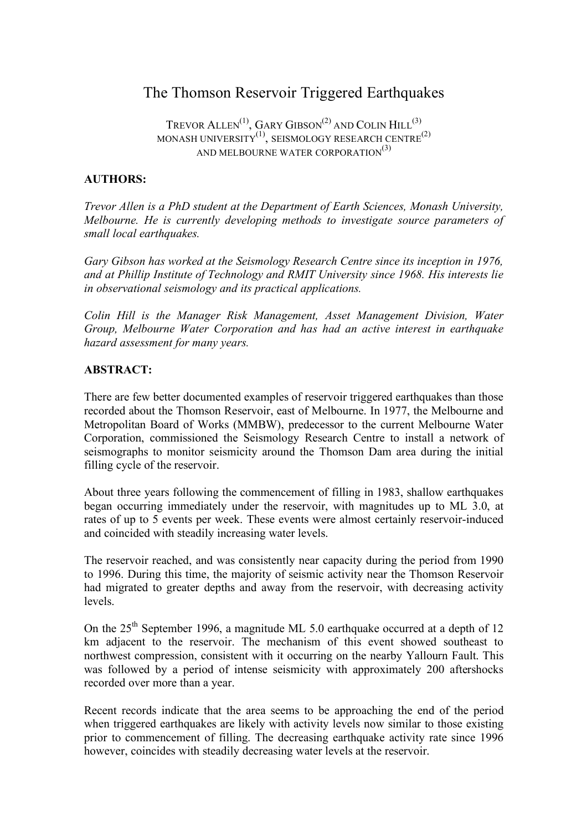# The Thomson Reservoir Triggered Earthquakes

TREVOR ALLEN $^{(1)}$ , GARY GIBSON $^{(2)}$  AND COLIN  $\rm{HILL}^{(3)}$ MONASH UNIVERSITY $^{\left( 1\right) }$ , SEISMOLOGY RESEARCH CENTRE $^{\left( 2\right) }$ AND MELBOURNE WATER CORPORATION<sup>(3)</sup>

# **AUTHORS:**

*Trevor Allen is a PhD student at the Department of Earth Sciences, Monash University, Melbourne. He is currently developing methods to investigate source parameters of small local earthquakes.*

*Gary Gibson has worked at the Seismology Research Centre since its inception in 1976, and at Phillip Institute of Technology and RMIT University since 1968. His interests lie in observational seismology and its practical applications.*

*Colin Hill is the Manager Risk Management, Asset Management Division, Water Group, Melbourne Water Corporation and has had an active interest in earthquake hazard assessment for many years.*

## **ABSTRACT:**

There are few better documented examples of reservoir triggered earthquakes than those recorded about the Thomson Reservoir, east of Melbourne. In 1977, the Melbourne and Metropolitan Board of Works (MMBW), predecessor to the current Melbourne Water Corporation, commissioned the Seismology Research Centre to install a network of seismographs to monitor seismicity around the Thomson Dam area during the initial filling cycle of the reservoir.

About three years following the commencement of filling in 1983, shallow earthquakes began occurring immediately under the reservoir, with magnitudes up to ML 3.0, at rates of up to 5 events per week. These events were almost certainly reservoir-induced and coincided with steadily increasing water levels.

The reservoir reached, and was consistently near capacity during the period from 1990 to 1996. During this time, the majority of seismic activity near the Thomson Reservoir had migrated to greater depths and away from the reservoir, with decreasing activity levels.

On the 25<sup>th</sup> September 1996, a magnitude ML 5.0 earthquake occurred at a depth of 12 km adjacent to the reservoir. The mechanism of this event showed southeast to northwest compression, consistent with it occurring on the nearby Yallourn Fault. This was followed by a period of intense seismicity with approximately 200 aftershocks recorded over more than a year.

Recent records indicate that the area seems to be approaching the end of the period when triggered earthquakes are likely with activity levels now similar to those existing prior to commencement of filling. The decreasing earthquake activity rate since 1996 however, coincides with steadily decreasing water levels at the reservoir.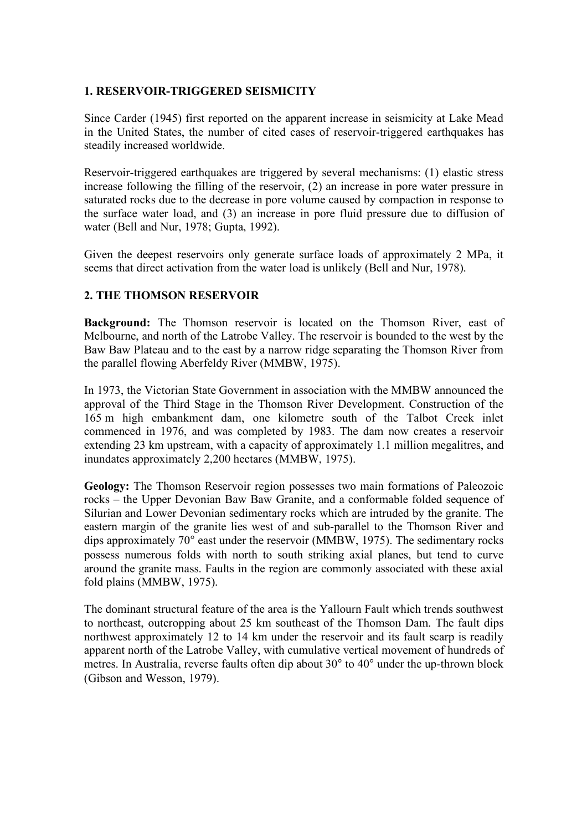## **1. RESERVOIR-TRIGGERED SEISMICITY**

Since Carder (1945) first reported on the apparent increase in seismicity at Lake Mead in the United States, the number of cited cases of reservoir-triggered earthquakes has steadily increased worldwide.

Reservoir-triggered earthquakes are triggered by several mechanisms: (1) elastic stress increase following the filling of the reservoir, (2) an increase in pore water pressure in saturated rocks due to the decrease in pore volume caused by compaction in response to the surface water load, and (3) an increase in pore fluid pressure due to diffusion of water (Bell and Nur, 1978; Gupta, 1992).

Given the deepest reservoirs only generate surface loads of approximately 2 MPa, it seems that direct activation from the water load is unlikely (Bell and Nur, 1978).

## **2. THE THOMSON RESERVOIR**

**Background:** The Thomson reservoir is located on the Thomson River, east of Melbourne, and north of the Latrobe Valley. The reservoir is bounded to the west by the Baw Baw Plateau and to the east by a narrow ridge separating the Thomson River from the parallel flowing Aberfeldy River (MMBW, 1975).

In 1973, the Victorian State Government in association with the MMBW announced the approval of the Third Stage in the Thomson River Development. Construction of the 165 m high embankment dam, one kilometre south of the Talbot Creek inlet commenced in 1976, and was completed by 1983. The dam now creates a reservoir extending 23 km upstream, with a capacity of approximately 1.1 million megalitres, and inundates approximately 2,200 hectares (MMBW, 1975).

**Geology:** The Thomson Reservoir region possesses two main formations of Paleozoic rocks – the Upper Devonian Baw Baw Granite, and a conformable folded sequence of Silurian and Lower Devonian sedimentary rocks which are intruded by the granite. The eastern margin of the granite lies west of and sub-parallel to the Thomson River and dips approximately 70° east under the reservoir (MMBW, 1975). The sedimentary rocks possess numerous folds with north to south striking axial planes, but tend to curve around the granite mass. Faults in the region are commonly associated with these axial fold plains (MMBW, 1975).

The dominant structural feature of the area is the Yallourn Fault which trends southwest to northeast, outcropping about 25 km southeast of the Thomson Dam. The fault dips northwest approximately 12 to 14 km under the reservoir and its fault scarp is readily apparent north of the Latrobe Valley, with cumulative vertical movement of hundreds of metres. In Australia, reverse faults often dip about 30° to 40° under the up-thrown block (Gibson and Wesson, 1979).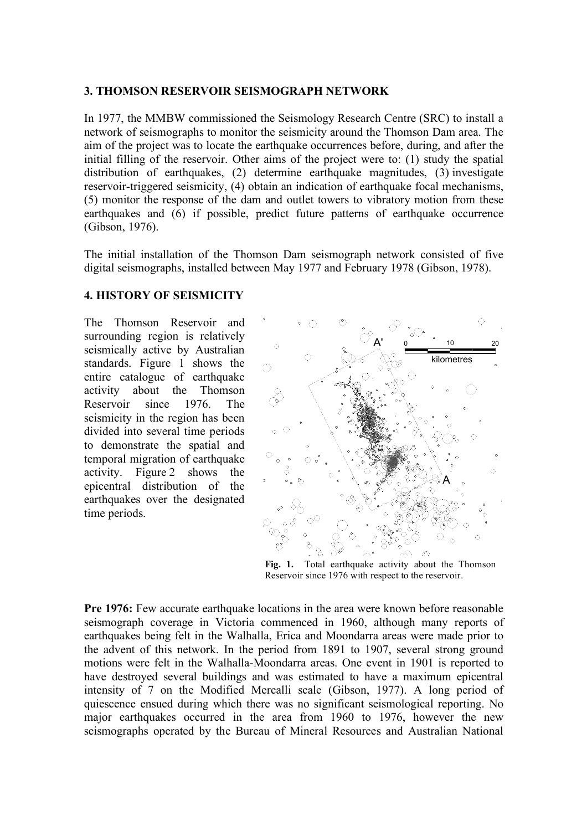#### **3. THOMSON RESERVOIR SEISMOGRAPH NETWORK**

In 1977, the MMBW commissioned the Seismology Research Centre (SRC) to install a network of seismographs to monitor the seismicity around the Thomson Dam area. The aim of the project was to locate the earthquake occurrences before, during, and after the initial filling of the reservoir. Other aims of the project were to: (1) study the spatial distribution of earthquakes, (2) determine earthquake magnitudes, (3) investigate reservoir-triggered seismicity, (4) obtain an indication of earthquake focal mechanisms, (5) monitor the response of the dam and outlet towers to vibratory motion from these earthquakes and (6) if possible, predict future patterns of earthquake occurrence (Gibson, 1976).

The initial installation of the Thomson Dam seismograph network consisted of five digital seismographs, installed between May 1977 and February 1978 (Gibson, 1978).

#### **4. HISTORY OF SEISMICITY**

The Thomson Reservoir and surrounding region is relatively seismically active by Australian standards. Figure 1 shows the entire catalogue of earthquake activity about the Thomson Reservoir since 1976. The seismicity in the region has been divided into several time periods to demonstrate the spatial and temporal migration of earthquake activity. Figure 2 shows the epicentral distribution of the earthquakes over the designated time periods.



**Fig. 1.** Total earthquake activity about the Thomson Reservoir since 1976 with respect to the reservoir.

**Pre 1976:** Few accurate earthquake locations in the area were known before reasonable seismograph coverage in Victoria commenced in 1960, although many reports of earthquakes being felt in the Walhalla, Erica and Moondarra areas were made prior to the advent of this network. In the period from 1891 to 1907, several strong ground motions were felt in the Walhalla-Moondarra areas. One event in 1901 is reported to have destroyed several buildings and was estimated to have a maximum epicentral intensity of 7 on the Modified Mercalli scale (Gibson, 1977). A long period of quiescence ensued during which there was no significant seismological reporting. No major earthquakes occurred in the area from 1960 to 1976, however the new seismographs operated by the Bureau of Mineral Resources and Australian National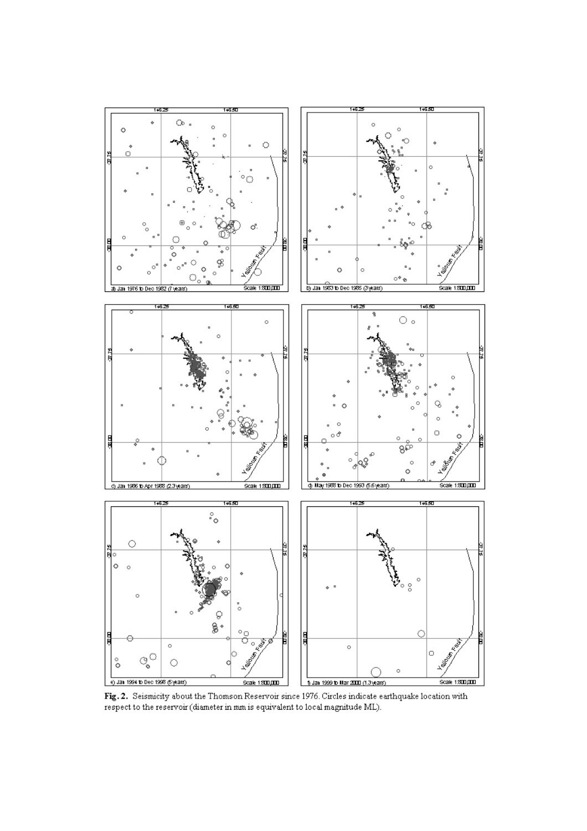

Fig. 2. Seismicity about the Thomson Reservoir since 1976. Circles indicate earthquake location with respect to the reservoir (diameter in mm is equivalent to local magnitude ML).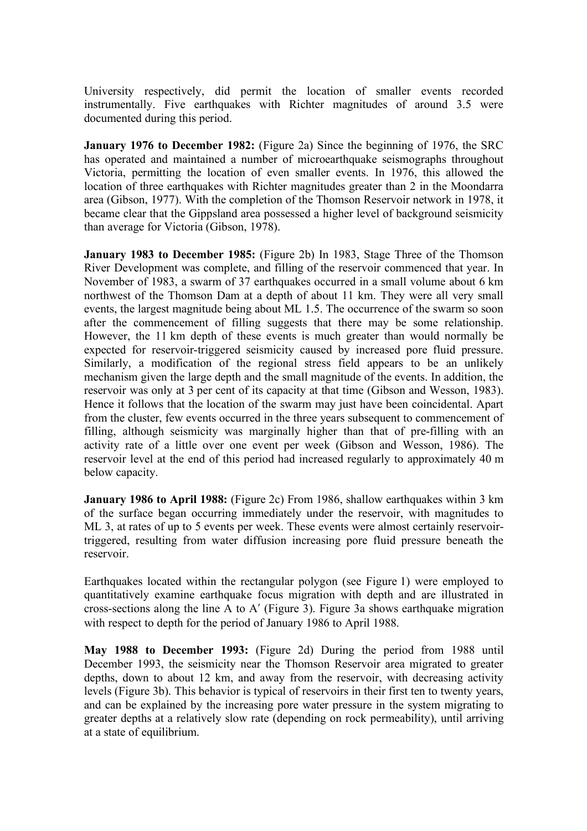University respectively, did permit the location of smaller events recorded instrumentally. Five earthquakes with Richter magnitudes of around 3.5 were documented during this period.

**January 1976 to December 1982:** (Figure 2a) Since the beginning of 1976, the SRC has operated and maintained a number of microearthquake seismographs throughout Victoria, permitting the location of even smaller events. In 1976, this allowed the location of three earthquakes with Richter magnitudes greater than 2 in the Moondarra area (Gibson, 1977). With the completion of the Thomson Reservoir network in 1978, it became clear that the Gippsland area possessed a higher level of background seismicity than average for Victoria (Gibson, 1978).

**January 1983 to December 1985:** (Figure 2b) In 1983, Stage Three of the Thomson River Development was complete, and filling of the reservoir commenced that year. In November of 1983, a swarm of 37 earthquakes occurred in a small volume about 6 km northwest of the Thomson Dam at a depth of about 11 km. They were all very small events, the largest magnitude being about ML 1.5. The occurrence of the swarm so soon after the commencement of filling suggests that there may be some relationship. However, the 11 km depth of these events is much greater than would normally be expected for reservoir-triggered seismicity caused by increased pore fluid pressure. Similarly, a modification of the regional stress field appears to be an unlikely mechanism given the large depth and the small magnitude of the events. In addition, the reservoir was only at 3 per cent of its capacity at that time (Gibson and Wesson, 1983). Hence it follows that the location of the swarm may just have been coincidental. Apart from the cluster, few events occurred in the three years subsequent to commencement of filling, although seismicity was marginally higher than that of pre-filling with an activity rate of a little over one event per week (Gibson and Wesson, 1986). The reservoir level at the end of this period had increased regularly to approximately 40 m below capacity.

**January 1986 to April 1988:** (Figure 2c) From 1986, shallow earthquakes within 3 km of the surface began occurring immediately under the reservoir, with magnitudes to ML 3, at rates of up to 5 events per week. These events were almost certainly reservoirtriggered, resulting from water diffusion increasing pore fluid pressure beneath the reservoir.

Earthquakes located within the rectangular polygon (see Figure 1) were employed to quantitatively examine earthquake focus migration with depth and are illustrated in cross-sections along the line A to A′ (Figure 3). Figure 3a shows earthquake migration with respect to depth for the period of January 1986 to April 1988.

**May 1988 to December 1993:** (Figure 2d) During the period from 1988 until December 1993, the seismicity near the Thomson Reservoir area migrated to greater depths, down to about 12 km, and away from the reservoir, with decreasing activity levels (Figure 3b). This behavior is typical of reservoirs in their first ten to twenty years, and can be explained by the increasing pore water pressure in the system migrating to greater depths at a relatively slow rate (depending on rock permeability), until arriving at a state of equilibrium.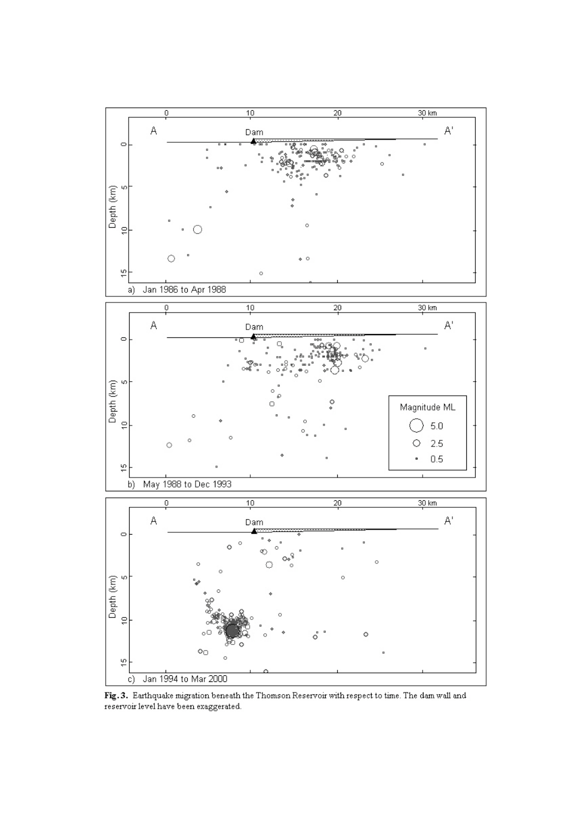

Fig. 3. Earthquake migration beneath the Thomson Reservoir with respect to time. The dam wall and reservoir level have been exaggerated.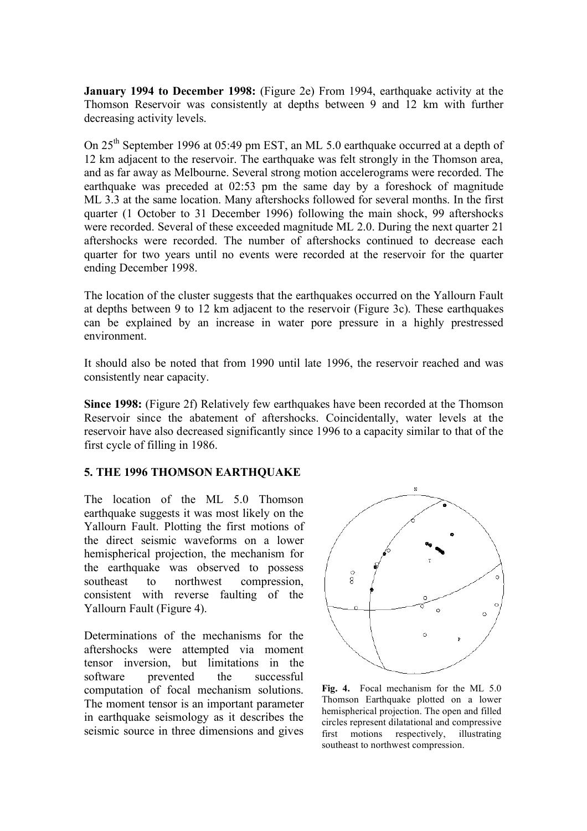**January 1994 to December 1998:** (Figure 2e) From 1994, earthquake activity at the Thomson Reservoir was consistently at depths between 9 and 12 km with further decreasing activity levels.

On 25<sup>th</sup> September 1996 at 05:49 pm EST, an ML 5.0 earthquake occurred at a depth of 12 km adjacent to the reservoir. The earthquake was felt strongly in the Thomson area, and as far away as Melbourne. Several strong motion accelerograms were recorded. The earthquake was preceded at 02:53 pm the same day by a foreshock of magnitude ML 3.3 at the same location. Many aftershocks followed for several months. In the first quarter (1 October to 31 December 1996) following the main shock, 99 aftershocks were recorded. Several of these exceeded magnitude ML 2.0. During the next quarter 21 aftershocks were recorded. The number of aftershocks continued to decrease each quarter for two years until no events were recorded at the reservoir for the quarter ending December 1998.

The location of the cluster suggests that the earthquakes occurred on the Yallourn Fault at depths between 9 to 12 km adjacent to the reservoir (Figure 3c). These earthquakes can be explained by an increase in water pore pressure in a highly prestressed environment.

It should also be noted that from 1990 until late 1996, the reservoir reached and was consistently near capacity.

**Since 1998:** (Figure 2f) Relatively few earthquakes have been recorded at the Thomson Reservoir since the abatement of aftershocks. Coincidentally, water levels at the reservoir have also decreased significantly since 1996 to a capacity similar to that of the first cycle of filling in 1986.

#### **5. THE 1996 THOMSON EARTHQUAKE**

The location of the ML 5.0 Thomson earthquake suggests it was most likely on the Yallourn Fault. Plotting the first motions of the direct seismic waveforms on a lower hemispherical projection, the mechanism for the earthquake was observed to possess southeast to northwest compression, consistent with reverse faulting of the Yallourn Fault (Figure 4).

Determinations of the mechanisms for the aftershocks were attempted via moment tensor inversion, but limitations in the software prevented the successful computation of focal mechanism solutions. The moment tensor is an important parameter in earthquake seismology as it describes the seismic source in three dimensions and gives



**Fig. 4.** Focal mechanism for the ML 5.0 Thomson Earthquake plotted on a lower hemispherical projection. The open and filled circles represent dilatational and compressive first motions respectively, illustrating southeast to northwest compression.